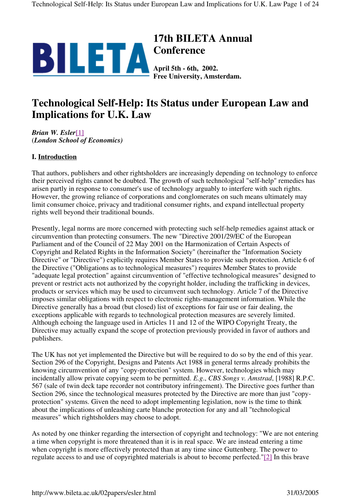

# **17th BILETA Annual Conference**

**April 5th - 6th, 2002. Free University, Amsterdam.**

# **Technological Self-Help: Its Status under European Law and Implications for U.K. Law**

*Brian W. Esler*[1] (*London School of Economics)*

# **I. Introduction**

That authors, publishers and other rightsholders are increasingly depending on technology to enforce their perceived rights cannot be doubted. The growth of such technological "self-help" remedies has arisen partly in response to consumer's use of technology arguably to interfere with such rights. However, the growing reliance of corporations and conglomerates on such means ultimately may limit consumer choice, privacy and traditional consumer rights, and expand intellectual property rights well beyond their traditional bounds.

Presently, legal norms are more concerned with protecting such self-help remedies against attack or circumvention than protecting consumers. The new "Directive 2001/29/EC of the European Parliament and of the Council of 22 May 2001 on the Harmonization of Certain Aspects of Copyright and Related Rights in the Information Society" (hereinafter the "Information Society Directive" or "Directive") explicitly requires Member States to provide such protection. Article 6 of the Directive ("Obligations as to technological measures") requires Member States to provide "adequate legal protection" against circumvention of "effective technological measures" designed to prevent or restrict acts not authorized by the copyright holder, including the trafficking in devices, products or services which may be used to circumvent such technology. Article 7 of the Directive imposes similar obligations with respect to electronic rights-management information. While the Directive generally has a broad (but closed) list of exceptions for fair use or fair dealing, the exceptions applicable with regards to technological protection measures are severely limited. Although echoing the language used in Articles 11 and 12 of the WIPO Copyright Treaty, the Directive may actually expand the scope of protection previously provided in favor of authors and publishers.

The UK has not yet implemented the Directive but will be required to do so by the end of this year. Section 296 of the Copyright, Designs and Patents Act 1988 in general terms already prohibits the knowing circumvention of any "copy-protection" system. However, technologies which may incidentally allow private copying seem to be permitted. *E.g*., *CBS Songs v. Amstrad*, [1988] R.P.C. 567 (sale of twin deck tape recorder not contributory infringement). The Directive goes further than Section 296, since the technological measures protected by the Directive are more than just "copyprotection" systems. Given the need to adopt implementing legislation, now is the time to think about the implications of unleashing carte blanche protection for any and all "technological measures" which rightsholders may choose to adopt.

As noted by one thinker regarding the intersection of copyright and technology: "We are not entering a time when copyright is more threatened than it is in real space. We are instead entering a time when copyright is more effectively protected than at any time since Guttenberg. The power to regulate access to and use of copyrighted materials is about to become perfected."[2] In this brave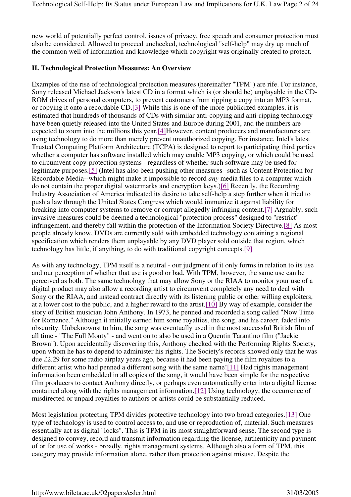new world of potentially perfect control, issues of privacy, free speech and consumer protection must also be considered. Allowed to proceed unchecked, technological "self-help" may dry up much of the common well of information and knowledge which copyright was originally created to protect.

### **II. Technological Protection Measures: An Overview**

Examples of the rise of technological protection measures (hereinafter "TPM") are rife. For instance, Sony released Michael Jackson's latest CD in a format which is (or should be) unplayable in the CD-ROM drives of personal computers, to prevent customers from ripping a copy into an MP3 format, or copying it onto a recordable CD.[3] While this is one of the more publicized examples, it is estimated that hundreds of thousands of CDs with similar anti-copying and anti-ripping technology have been quietly released into the United States and Europe during 2001, and the numbers are expected to zoom into the millions this year.[4]However, content producers and manufacturers are using technology to do more than merely prevent unauthorized copying. For instance, Intel's latest Trusted Computing Platform Architecture (TCPA) is designed to report to participating third parties whether a computer has software installed which may enable MP3 copying, or which could be used to circumvent copy-protection systems - regardless of whether such software may be used for legitimate purposes.[5] (Intel has also been pushing other measures--such as Content Protection for Recordable Media--which might make it impossible to record *any* media files to a computer which do not contain the proper digital watermarks and encryption keys.)[6] Recently, the Recording Industry Association of America indicated its desire to take self-help a step further when it tried to push a law through the United States Congress which would immunize it against liability for breaking into computer systems to remove or corrupt allegedly infringing content.[7] Arguably, such invasive measures could be deemed a technological "protection process" designed to "restrict" infringement, and thereby fall within the protection of the Information Society Directive.[8] As most people already know, DVDs are currently sold with embedded technology containing a regional specification which renders them unplayable by any DVD player sold outside that region, which technology has little, if anything, to do with traditional copyright concepts.[9]

As with any technology, TPM itself is a neutral - our judgment of it only forms in relation to its use and our perception of whether that use is good or bad. With TPM, however, the same use can be perceived as both. The same technology that may allow Sony or the RIAA to monitor your use of a digital product may also allow a recording artist to circumvent completely any need to deal with Sony or the RIAA, and instead contract directly with its listening public or other willing exploiters, at a lower cost to the public, and a higher reward to the artist.[10] By way of example, consider the story of British musician John Anthony. In 1973, he penned and recorded a song called "Now Time for Romance." Although it initially earned him some royalties, the song, and his career, faded into obscurity. Unbeknownst to him, the song was eventually used in the most successful British film of all time - "The Full Monty" - and went on to also be used in a Quentin Tarantino film ("Jackie Brown"). Upon accidentally discovering this, Anthony checked with the Performing Rights Society, upon whom he has to depend to administer his rights. The Society's records showed only that he was due £2.29 for some radio airplay years ago, because it had been paying the film royalties to a different artist who had penned a different song with the same name![11] Had rights management information been embedded in all copies of the song, it would have been simple for the respective film producers to contact Anthony directly, or perhaps even automatically enter into a digital license contained along with the rights management information.[12] Using technology, the occurrence of misdirected or unpaid royalties to authors or artists could be substantially reduced.

Most legislation protecting TPM divides protective technology into two broad categories.[13] One type of technology is used to control access to, and use or reproduction of, material. Such measures essentially act as digital "locks". This is TPM in its most straightforward sense. The second type is designed to convey, record and transmit information regarding the license, authenticity and payment of or for use of works - broadly, rights management systems. Although also a form of TPM, this category may provide information alone, rather than protection against misuse. Despite the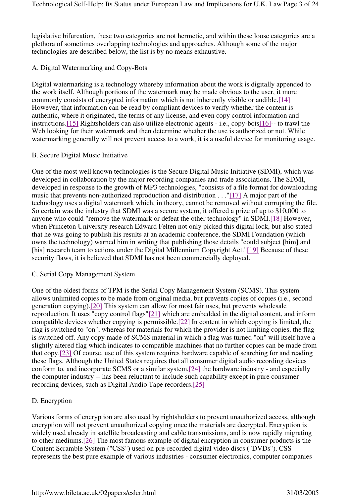legislative bifurcation, these two categories are not hermetic, and within these loose categories are a plethora of sometimes overlapping technologies and approaches. Although some of the major technologies are described below, the list is by no means exhaustive.

## A. Digital Watermarking and Copy-Bots

Digital watermarking is a technology whereby information about the work is digitally appended to the work itself. Although portions of the watermark may be made obvious to the user, it more commonly consists of encrypted information which is not inherently visible or audible.[14] However, that information can be read by compliant devices to verify whether the content is authentic, where it originated, the terms of any license, and even copy control information and instructions.[15] Rightsholders can also utilize electronic agents - i.e., copy-bots[16]-- to trawl the Web looking for their watermark and then determine whether the use is authorized or not. While watermarking generally will not prevent access to a work, it is a useful device for monitoring usage.

### B. Secure Digital Music Initiative

One of the most well known technologies is the Secure Digital Music Initiative (SDMI), which was developed in collaboration by the major recording companies and trade associations. The SDMI, developed in response to the growth of MP3 technologies, "consists of a file format for downloading music that prevents non-authorized reproduction and distribution . . ."[17] A major part of the technology uses a digital watermark which, in theory, cannot be removed without corrupting the file. So certain was the industry that SDMI was a secure system, it offered a prize of up to \$10,000 to anyone who could "remove the watermark or defeat the other technology" in SDMI.[18] However, when Princeton University research Edward Felten not only picked this digital lock, but also stated that he was going to publish his results at an academic conference, the SDMI Foundation (which owns the technology) warned him in writing that publishing those details "could subject [him] and [his] research team to actions under the Digital Millennium Copyright Act."[19] Because of these security flaws, it is believed that SDMI has not been commercially deployed.

#### C. Serial Copy Management System

One of the oldest forms of TPM is the Serial Copy Management System (SCMS). This system allows unlimited copies to be made from original media, but prevents copies of copies (i.e., second generation copying).[20] This system can allow for most fair uses, but prevents wholesale reproduction. It uses "copy control flags"[21] which are embedded in the digital content, and inform compatible devices whether copying is permissible.[22] In content in which copying is limited, the flag is switched to "on", whereas for materials for which the provider is not limiting copies, the flag is switched off. Any copy made of SCMS material in which a flag was turned "on" will itself have a slightly altered flag which indicates to compatible machines that no further copies can be made from that copy.[23] Of course, use of this system requires hardware capable of searching for and reading these flags. Although the United States requires that all consumer digital audio recording devices conform to, and incorporate SCMS or a similar system,[24] the hardware industry - and especially the computer industry -- has been reluctant to include such capability except in pure consumer recording devices, such as Digital Audio Tape recorders.[25]

## D. Encryption

Various forms of encryption are also used by rightsholders to prevent unauthorized access, although encryption will not prevent unauthorized copying once the materials are decrypted. Encryption is widely used already in satellite broadcasting and cable transmissions, and is now rapidly migrating to other mediums.[26] The most famous example of digital encryption in consumer products is the Content Scramble System ("CSS") used on pre-recorded digital video discs ("DVDs"). CSS represents the best pure example of various industries - consumer electronics, computer companies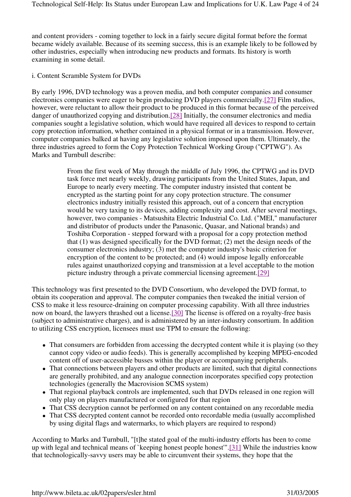and content providers - coming together to lock in a fairly secure digital format before the format became widely available. Because of its seeming success, this is an example likely to be followed by other industries, especially when introducing new products and formats. Its history is worth examining in some detail.

#### i. Content Scramble System for DVDs

By early 1996, DVD technology was a proven media, and both computer companies and consumer electronics companies were eager to begin producing DVD players commercially.[27] Film studios, however, were reluctant to allow their product to be produced in this format because of the perceived danger of unauthorized copying and distribution.[28] Initially, the consumer electronics and media companies sought a legislative solution, which would have required all devices to respond to certain copy protection information, whether contained in a physical format or in a transmission. However, computer companies balked at having any legislative solution imposed upon them. Ultimately, the three industries agreed to form the Copy Protection Technical Working Group ("CPTWG"). As Marks and Turnbull describe:

> From the first week of May through the middle of July 1996, the CPTWG and its DVD task force met nearly weekly, drawing participants from the United States, Japan, and Europe to nearly every meeting. The computer industry insisted that content be encrypted as the starting point for any copy protection structure. The consumer electronics industry initially resisted this approach, out of a concern that encryption would be very taxing to its devices, adding complexity and cost. After several meetings, however, two companies - Matsushita Electric Industrial Co. Ltd. ("MEI," manufacturer and distributor of products under the Panasonic, Quasar, and National brands) and Toshiba Corporation - stepped forward with a proposal for a copy protection method that (1) was designed specifically for the DVD format; (2) met the design needs of the consumer electronics industry; (3) met the computer industry's basic criterion for encryption of the content to be protected; and (4) would impose legally enforceable rules against unauthorized copying and transmission at a level acceptable to the motion picture industry through a private commercial licensing agreement.[29]

This technology was first presented to the DVD Consortium, who developed the DVD format, to obtain its cooperation and approval. The computer companies then tweaked the initial version of CSS to make it less resource-draining on computer processing capability. With all three industries now on board, the lawyers thrashed out a license.[30] The license is offered on a royalty-free basis (subject to administrative charges), and is administered by an inter-industry consortium. In addition to utilizing CSS encryption, licensees must use TPM to ensure the following:

- That consumers are forbidden from accessing the decrypted content while it is playing (so they cannot copy video or audio feeds). This is generally accomplished by keeping MPEG-encoded content off of user-accessible busses within the player or accompanying peripherals.
- That connections between players and other products are limited, such that digital connections are generally prohibited, and any analogue connection incorporates specified copy protection technologies (generally the Macrovision SCMS system)
- That regional playback controls are implemented, such that DVDs released in one region will only play on players manufactured or configured for that region
- That CSS decryption cannot be performed on any content contained on any recordable media
- That CSS decrypted content cannot be recorded onto recordable media (usually accomplished by using digital flags and watermarks, to which players are required to respond)

According to Marks and Turnbull, "[t]he stated goal of the multi-industry efforts has been to come up with legal and technical means of `keeping honest people honest'".[31] While the industries know that technologically-savvy users may be able to circumvent their systems, they hope that the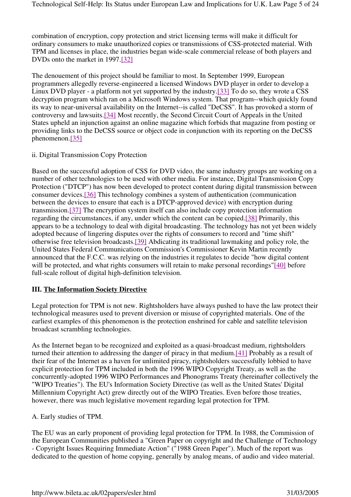combination of encryption, copy protection and strict licensing terms will make it difficult for ordinary consumers to make unauthorized copies or transmissions of CSS-protected material. With TPM and licenses in place, the industries began wide-scale commercial release of both players and DVDs onto the market in 1997.[32]

The denouement of this project should be familiar to most. In September 1999, European programmers allegedly reverse-engineered a licensed Windows DVD player in order to develop a Linux DVD player - a platform not yet supported by the industry.[33] To do so, they wrote a CSS decryption program which ran on a Microsoft Windows system. That program--which quickly found its way to near-universal availability on the Internet--is called "DeCSS". It has provoked a storm of controversy and lawsuits.[34] Most recently, the Second Circuit Court of Appeals in the United States upheld an injunction against an online magazine which forbids that magazine from posting or providing links to the DeCSS source or object code in conjunction with its reporting on the DeCSS phenomenon.[35]

### ii. Digital Transmission Copy Protection

Based on the successful adoption of CSS for DVD video, the same industry groups are working on a number of other technologies to be used with other media. For instance, Digital Transmission Copy Protection ("DTCP") has now been developed to protect content during digital transmission between consumer devices.[36] This technology combines a system of authentication (communication between the devices to ensure that each is a DTCP-approved device) with encryption during transmission.[37] The encryption system itself can also include copy protection information regarding the circumstances, if any, under which the content can be copied.[38] Primarily, this appears to be a technology to deal with digital broadcasting. The technology has not yet been widely adopted because of lingering disputes over the rights of consumers to record and "time shift" otherwise free television broadcasts.[39] Abdicating its traditional lawmaking and policy role, the United States Federal Communications Commission's Commissioner Kevin Martin recently announced that the F.C.C. was relying on the industries it regulates to decide "how digital content will be protected, and what rights consumers will retain to make personal recordings"[40] before full-scale rollout of digital high-definition television.

## **III. The Information Society Directive**

Legal protection for TPM is not new. Rightsholders have always pushed to have the law protect their technological measures used to prevent diversion or misuse of copyrighted materials. One of the earliest examples of this phenomenon is the protection enshrined for cable and satellite television broadcast scrambling technologies.

As the Internet began to be recognized and exploited as a quasi-broadcast medium, rightsholders turned their attention to addressing the danger of piracy in that medium.[41] Probably as a result of their fear of the Internet as a haven for unlimited piracy, rightsholders successfully lobbied to have explicit protection for TPM included in both the 1996 WIPO Copyright Treaty, as well as the concurrently-adopted 1996 WIPO Performances and Phonograms Treaty (hereinafter collectively the "WIPO Treaties"). The EU's Information Society Directive (as well as the United States' Digital Millennium Copyright Act) grew directly out of the WIPO Treaties. Even before those treaties, however, there was much legislative movement regarding legal protection for TPM.

## A. Early studies of TPM.

The EU was an early proponent of providing legal protection for TPM. In 1988, the Commission of the European Communities published a "Green Paper on copyright and the Challenge of Technology - Copyright Issues Requiring Immediate Action" ("1988 Green Paper"). Much of the report was dedicated to the question of home copying, generally by analog means, of audio and video material.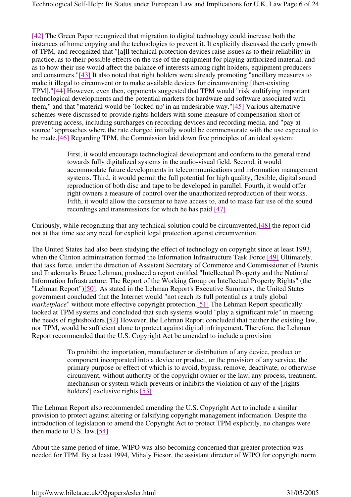[42] The Green Paper recognized that migration to digital technology could increase both the instances of home copying and the technologies to prevent it. It explicitly discussed the early growth of TPM, and recognized that "[a]ll technical protection devices raise issues as to their reliability in practice, as to their possible effects on the use of the equipment for playing authorized material, and as to how their use would affect the balance of interests among right holders, equipment producers and consumers."[43] It also noted that right holders were already promoting "ancillary measures to make it illegal to circumvent or to make available devices for circumventing [then-existing TPM]."[44] However, even then, opponents suggested that TPM would "risk stultifying important technological developments and the potential markets for hardware and software associated with them," and that "material would be `locked up' in an undesirable way."[45] Various alternative schemes were discussed to provide rights holders with some measure of compensation short of preventing access, including surcharges on recording devices and recording media, and "pay at source" approaches where the rate charged initially would be commensurate with the use expected to be made.[46] Regarding TPM, the Commission laid down five principles of an ideal system:

> First, it would encourage technological development and conform to the general trend towards fully digitalized systems in the audio-visual field. Second, it would accommodate future developments in telecommunications and information management systems. Third, it would permit the full potential for high quality, flexible, digital sound reproduction of both disc and tape to be developed in parallel. Fourth, it would offer right owners a measure of control over the unauthorized reproduction of their works. Fifth, it would allow the consumer to have access to, and to make fair use of the sound recordings and transmissions for which he has paid.[47]

Curiously, while recognizing that any technical solution could be circumvented,[48] the report did not at that time see any need for explicit legal protection against circumvention.

The United States had also been studying the effect of technology on copyright since at least 1993, when the Clinton administration formed the Information Infrastructure Task Force.[49] Ultimately, that task force, under the direction of Assistant Secretary of Commerce and Commissioner of Patents and Trademarks Bruce Lehman, produced a report entitled "Intellectual Property and the National Information Infrastructure: The Report of the Working Group on Intellectual Property Rights" (the "Lehman Report")[50]. As stated in the Lehman Report's Executive Summary, the United States government concluded that the Internet would "not reach its full potential as a truly global *marketplace*" without more effective copyright protection.[51] The Lehman Report specifically looked at TPM systems and concluded that such systems would "play a significant role" in meeting the needs of rightsholders.[52] However, the Lehman Report concluded that neither the existing law, nor TPM, would be sufficient alone to protect against digital infringement. Therefore, the Lehman Report recommended that the U.S. Copyright Act be amended to include a provision

> To prohibit the importation, manufacturer or distribution of any device, product or component incorporated into a device or product, or the provision of any service, the primary purpose or effect of which is to avoid, bypass, remove, deactivate, or otherwise circumvent, without authority of the copyright owner or the law, any process, treatment, mechanism or system which prevents or inhibits the violation of any of the [rights holders'] exclusive rights.[53]

The Lehman Report also recommended amending the U.S. Copyright Act to include a similar provision to protect against altering or falsifying copyright management information. Despite the introduction of legislation to amend the Copyright Act to protect TPM explicitly, no changes were then made to U.S. law.[54]

About the same period of time, WIPO was also becoming concerned that greater protection was needed for TPM. By at least 1994, Mihaly Ficsor, the assistant director of WIPO for copyright norm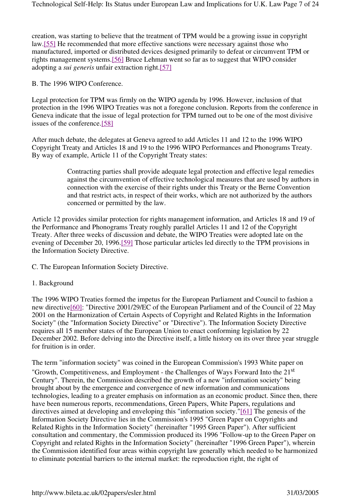creation, was starting to believe that the treatment of TPM would be a growing issue in copyright law.[55] He recommended that more effective sanctions were necessary against those who manufactured, imported or distributed devices designed primarily to defeat or circumvent TPM or rights management systems.[56] Bruce Lehman went so far as to suggest that WIPO consider adopting a *sui generis* unfair extraction right.[57]

B. The 1996 WIPO Conference.

Legal protection for TPM was firmly on the WIPO agenda by 1996. However, inclusion of that protection in the 1996 WIPO Treaties was not a foregone conclusion. Reports from the conference in Geneva indicate that the issue of legal protection for TPM turned out to be one of the most divisive issues of the conference.[58]

After much debate, the delegates at Geneva agreed to add Articles 11 and 12 to the 1996 WIPO Copyright Treaty and Articles 18 and 19 to the 1996 WIPO Performances and Phonograms Treaty. By way of example, Article 11 of the Copyright Treaty states:

> Contracting parties shall provide adequate legal protection and effective legal remedies against the circumvention of effective technological measures that are used by authors in connection with the exercise of their rights under this Treaty or the Berne Convention and that restrict acts, in respect of their works, which are not authorized by the authors concerned or permitted by the law.

Article 12 provides similar protection for rights management information, and Articles 18 and 19 of the Performance and Phonograms Treaty roughly parallel Articles 11 and 12 of the Copyright Treaty. After three weeks of discussion and debate, the WIPO Treaties were adopted late on the evening of December 20, 1996.[59] Those particular articles led directly to the TPM provisions in the Information Society Directive.

C. The European Information Society Directive.

1. Background

The 1996 WIPO Treaties formed the impetus for the European Parliament and Council to fashion a new directive[60]: "Directive 2001/29/EC of the European Parliament and of the Council of 22 May 2001 on the Harmonization of Certain Aspects of Copyright and Related Rights in the Information Society" (the "Information Society Directive" or "Directive"). The Information Society Directive requires all 15 member states of the European Union to enact conforming legislation by 22 December 2002. Before delving into the Directive itself, a little history on its over three year struggle for fruition is in order.

The term "information society" was coined in the European Commission's 1993 White paper on "Growth, Competitiveness, and Employment - the Challenges of Ways Forward Into the  $21<sup>st</sup>$ Century". Therein, the Commission described the growth of a new "information society" being brought about by the emergence and convergence of new information and communications technologies, leading to a greater emphasis on information as an economic product. Since then, there have been numerous reports, recommendations, Green Papers, White Papers, regulations and directives aimed at developing and enveloping this "information society."[61] The genesis of the Information Society Directive lies in the Commission's 1995 "Green Paper on Copyrights and Related Rights in the Information Society" (hereinafter "1995 Green Paper"). After sufficient consultation and commentary, the Commission produced its 1996 "Follow-up to the Green Paper on Copyright and related Rights in the Information Society" (hereinafter "1996 Green Paper"), wherein the Commission identified four areas within copyright law generally which needed to be harmonized to eliminate potential barriers to the internal market: the reproduction right, the right of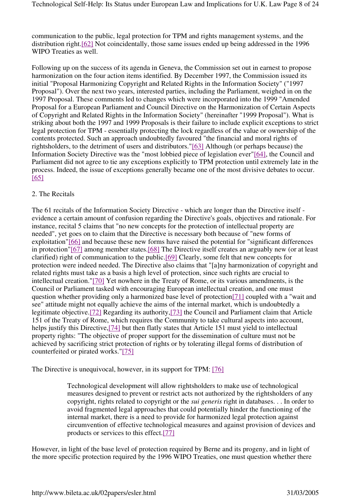communication to the public, legal protection for TPM and rights management systems, and the distribution right.[62] Not coincidentally, those same issues ended up being addressed in the 1996 WIPO Treaties as well.

Following up on the success of its agenda in Geneva, the Commission set out in earnest to propose harmonization on the four action items identified. By December 1997, the Commission issued its initial "Proposal Harmonizing Copyright and Related Rights in the Information Society" ("1997 Proposal"). Over the next two years, interested parties, including the Parliament, weighed in on the 1997 Proposal. These comments led to changes which were incorporated into the 1999 "Amended Proposal for a European Parliament and Council Directive on the Harmonization of Certain Aspects of Copyright and Related Rights in the Information Society" (hereinafter "1999 Proposal"). What is striking about both the 1997 and 1999 Proposals is their failure to include explicit exceptions to strict legal protection for TPM - essentially protecting the lock regardless of the value or ownership of the contents protected. Such an approach undoubtedly favoured "the financial and moral rights of rightsholders, to the detriment of users and distributors."[63] Although (or perhaps because) the Information Society Directive was the "most lobbied piece of legislation ever"[64], the Council and Parliament did not agree to tie any exceptions explicitly to TPM protection until extremely late in the process. Indeed, the issue of exceptions generally became one of the most divisive debates to occur. [65]

#### 2. The Recitals

The 61 recitals of the Information Society Directive - which are longer than the Directive itself evidence a certain amount of confusion regarding the Directive's goals, objectives and rationale. For instance, recital 5 claims that "no new concepts for the protection of intellectual property are needed", yet goes on to claim that the Directive is necessary both because of "new forms of exploitation"[66] and because these new forms have raised the potential for "significant differences in protection"[67] among member states.[68] The Directive itself creates an arguably new (or at least clarified) right of communication to the public.[69] Clearly, some felt that new concepts for protection were indeed needed. The Directive also claims that "[a]ny harmonization of copyright and related rights must take as a basis a high level of protection, since such rights are crucial to intellectual creation."[70] Yet nowhere in the Treaty of Rome, or its various amendments, is the Council or Parliament tasked with encouraging European intellectual creation, and one must question whether providing only a harmonized base level of protection[71] coupled with a "wait and see" attitude might not equally achieve the aims of the internal market, which is undoubtedly a legitimate objective.[72] Regarding its authority,[73] the Council and Parliament claim that Article 151 of the Treaty of Rome, which requires the Community to take cultural aspects into account, helps justify this Directive,[74] but then flatly states that Article 151 must yield to intellectual property rights: "The objective of proper support for the dissemination of culture must not be achieved by sacrificing strict protection of rights or by tolerating illegal forms of distribution of counterfeited or pirated works."[75]

The Directive is unequivocal, however, in its support for TPM: [76]

Technological development will allow rightsholders to make use of technological measures designed to prevent or restrict acts not authorized by the rightsholders of any copyright, rights related to copyright or the *sui generis* right in databases. . . In order to avoid fragmented legal approaches that could potentially hinder the functioning of the internal market, there is a need to provide for harmonized legal protection against circumvention of effective technological measures and against provision of devices and products or services to this effect.[77]

However, in light of the base level of protection required by Berne and its progeny, and in light of the more specific protection required by the 1996 WIPO Treaties, one must question whether there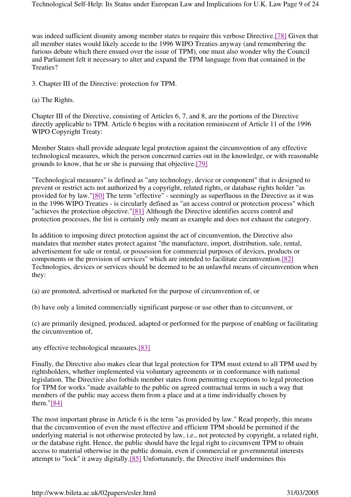was indeed sufficient disunity among member states to require this verbose Directive.[78] Given that all member states would likely accede to the 1996 WIPO Treaties anyway (and remembering the furious debate which there ensued over the issue of TPM), one must also wonder why the Council and Parliament felt it necessary to alter and expand the TPM language from that contained in the Treaties?

3. Chapter III of the Directive: protection for TPM.

(a) The Rights.

Chapter III of the Directive, consisting of Articles 6, 7, and 8, are the portions of the Directive directly applicable to TPM. Article 6 begins with a recitation reminiscent of Article 11 of the 1996 WIPO Copyright Treaty:

Member States shall provide adequate legal protection against the circumvention of any effective technological measures, which the person concerned carries out in the knowledge, or with reasonable grounds to know, that he or she is pursuing that objective.[79]

"Technological measures" is defined as "any technology, device or component" that is designed to prevent or restrict acts not authorized by a copyright, related rights, or database rights holder "as provided for by law."[80] The term "effective" - seemingly as superfluous in the Directive as it was in the 1996 WIPO Treaties - is circularly defined as "an access control or protection process" which "achieves the protection objective."[81] Although the Directive identifies access control and protection processes, the list is certainly only meant as example and does not exhaust the category.

In addition to imposing direct protection against the act of circumvention, the Directive also mandates that member states protect against "the manufacture, import, distribution, sale, rental, advertisement for sale or rental, or possession for commercial purposes of devices, products or components or the provision of services" which are intended to facilitate circumvention.[82] Technologies, devices or services should be deemed to be an unlawful means of circumvention when they:

(a) are promoted, advertised or marketed for the purpose of circumvention of, or

(b) have only a limited commercially significant purpose or use other than to circumvent, or

(c) are primarily designed, produced, adapted or performed for the purpose of enabling or facilitating the circumvention of,

any effective technological measures.[83]

Finally, the Directive also makes clear that legal protection for TPM must extend to all TPM used by rightsholders, whether implemented via voluntary agreements or in conformance with national legislation. The Directive also forbids member states from permitting exceptions to legal protection for TPM for works "made available to the public on agreed contractual terms in such a way that members of the public may access them from a place and at a time individually chosen by them."[84]

The most important phrase in Article 6 is the term "as provided by law." Read properly, this means that the circumvention of even the most effective and efficient TPM should be permitted if the underlying material is not otherwise protected by law, i.e., not protected by copyright, a related right, or the database right. Hence, the public should have the legal right to circumvent TPM to obtain access to material otherwise in the public domain, even if commercial or governmental interests attempt to "lock" it away digitally.[85] Unfortunately, the Directive itself undermines this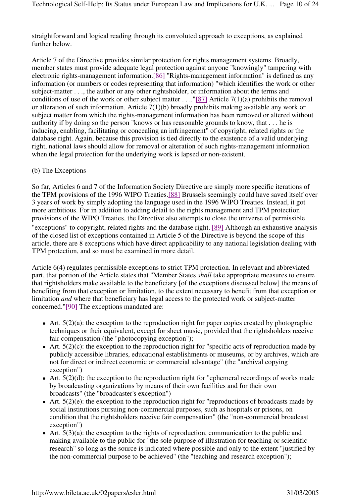straightforward and logical reading through its convoluted approach to exceptions, as explained further below.

Article 7 of the Directive provides similar protection for rights management systems. Broadly, member states must provide adequate legal protection against anyone "knowingly" tampering with electronic rights-management information.[86] "Rights-management information" is defined as any information (or numbers or codes representing that information) "which identifies the work or other subject-matter . . ., the author or any other rightsholder, or information about the terms and conditions of use of the work or other subject matter . . .."[87] Article 7(1)(a) prohibits the removal or alteration of such information. Article 7(1)(b) broadly prohibits making available any work or subject matter from which the rights-management information has been removed or altered without authority if by doing so the person "knows or has reasonable grounds to know, that . . . he is inducing, enabling, facilitating or concealing an infringement" of copyright, related rights or the database right. Again, because this provision is tied directly to the existence of a valid underlying right, national laws should allow for removal or alteration of such rights-management information when the legal protection for the underlying work is lapsed or non-existent.

#### (b) The Exceptions

So far, Articles 6 and 7 of the Information Society Directive are simply more specific iterations of the TPM provisions of the 1996 WIPO Treaties.[88] Brussels seemingly could have saved itself over 3 years of work by simply adopting the language used in the 1996 WIPO Treaties. Instead, it got more ambitious. For in addition to adding detail to the rights management and TPM protection provisions of the WIPO Treaties, the Directive also attempts to close the universe of permissible "exceptions" to copyright, related rights and the database right. [89] Although an exhaustive analysis of the closed list of exceptions contained in Article 5 of the Directive is beyond the scope of this article, there are 8 exceptions which have direct applicability to any national legislation dealing with TPM protection, and so must be examined in more detail.

Article 6(4) regulates permissible exceptions to strict TPM protection. In relevant and abbreviated part, that portion of the Article states that "Member States *shall* take appropriate measures to ensure that rightsholders make available to the beneficiary [of the exceptions discussed below] the means of benefiting from that exception or limitation, to the extent necessary to benefit from that exception or limitation *and* where that beneficiary has legal access to the protected work or subject-matter concerned."[90] The exceptions mandated are:

- $\bullet$  Art. 5(2)(a): the exception to the reproduction right for paper copies created by photographic techniques or their equivalent, except for sheet music, provided that the rightsholders receive fair compensation (the "photocopying exception");
- Art.  $5(2)(c)$ : the exception to the reproduction right for "specific acts of reproduction made by publicly accessible libraries, educational establishments or museums, or by archives, which are not for direct or indirect economic or commercial advantage" (the "archival copying exception")
- $\bullet$  Art. 5(2)(d): the exception to the reproduction right for "ephemeral recordings of works made by broadcasting organizations by means of their own facilities and for their own broadcasts" (the "broadcaster's exception")
- $\bullet$  Art. 5(2)(e): the exception to the reproduction right for "reproductions of broadcasts made by social institutions pursuing non-commercial purposes, such as hospitals or prisons, on condition that the rightsholders receive fair compensation" (the "non-commercial broadcast exception")
- $\bullet$  Art. 5(3)(a): the exception to the rights of reproduction, communication to the public and making available to the public for "the sole purpose of illustration for teaching or scientific research" so long as the source is indicated where possible and only to the extent "justified by the non-commercial purpose to be achieved" (the "teaching and research exception");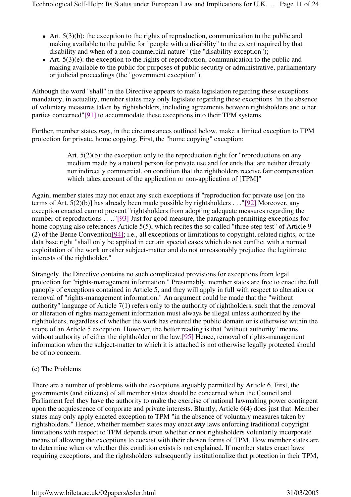- $\bullet$  Art. 5(3)(b): the exception to the rights of reproduction, communication to the public and making available to the public for "people with a disability" to the extent required by that disability and when of a non-commercial nature" (the "disability exception");
- $\bullet$  Art. 5(3)(e): the exception to the rights of reproduction, communication to the public and making available to the public for purposes of public security or administrative, parliamentary or judicial proceedings (the "government exception").

Although the word "shall" in the Directive appears to make legislation regarding these exceptions mandatory, in actuality, member states may only legislate regarding these exceptions "in the absence of voluntary measures taken by rightsholders, including agreements between rightsholders and other parties concerned"[91] to accommodate these exceptions into their TPM systems.

Further, member states *may*, in the circumstances outlined below, make a limited exception to TPM protection for private, home copying. First, the "home copying" exception:

> Art. 5(2)(b): the exception only to the reproduction right for "reproductions on any medium made by a natural person for private use and for ends that are neither directly nor indirectly commercial, on condition that the rightholders receive fair compensation which takes account of the application or non-application of [TPM]"

Again, member states may not enact any such exceptions if "reproduction for private use [on the terms of Art. 5(2)(b)] has already been made possible by rightsholders . . ."[92] Moreover, any exception enacted cannot prevent "rightsholders from adopting adequate measures regarding the number of reproductions . . . "[93] Just for good measure, the paragraph permitting exceptions for home copying also references Article 5(5), which recites the so-called "three-step test" of Article 9 (2) of the Berne Convention[94]; i.e., all exceptions or limitations to copyright, related rights, or the data base right "shall only be applied in certain special cases which do not conflict with a normal exploitation of the work or other subject-matter and do not unreasonably prejudice the legitimate interests of the rightholder."

Strangely, the Directive contains no such complicated provisions for exceptions from legal protection for "rights-management information." Presumably, member states are free to enact the full panoply of exceptions contained in Article 5, and they will apply in full with respect to alteration or removal of "rights-management information." An argument could be made that the "without authority" language of Article 7(1) refers only to the authority of rightholders, such that the removal or alteration of rights management information must always be illegal unless authorized by the rightholders, regardless of whether the work has entered the public domain or is otherwise within the scope of an Article 5 exception. However, the better reading is that "without authority" means without authority of either the rightholder or the law.[95] Hence, removal of rights-management information when the subject-matter to which it is attached is not otherwise legally protected should be of no concern.

## (c) The Problems

There are a number of problems with the exceptions arguably permitted by Article 6. First, the governments (and citizens) of all member states should be concerned when the Council and Parliament feel they have the authority to make the exercise of national lawmaking power contingent upon the acquiescence of corporate and private interests. Bluntly, Article 6(4) does just that. Member states may only apply enacted exception to TPM "in the absence of voluntary measures taken by rightsholders." Hence, whether member states may enact *any* laws enforcing traditional copyright limitations with respect to TPM depends upon whether or not rightsholders voluntarily incorporate means of allowing the exceptions to coexist with their chosen forms of TPM. How member states are to determine when or whether this condition exists is not explained. If member states enact laws requiring exceptions, and the rightsholders subsequently institutionalize that protection in their TPM,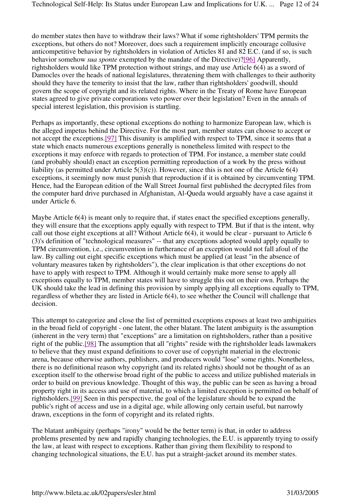do member states then have to withdraw their laws? What if some rightsholders' TPM permits the exceptions, but others do not? Moreover, does such a requirement implicitly encourage collusive anticompetitive behavior by rightsholders in violation of Articles 81 and 82 E.C. (and if so, is such behavior somehow *sua sponte* exempted by the mandate of the Directive)?[96] Apparently, rightsholders would like TPM protection without strings, and may use Article 6(4) as a sword of Damocles over the heads of national legislatures, threatening them with challenges to their authority should they have the temerity to insist that the law, rather than rightsholders' goodwill, should govern the scope of copyright and its related rights. Where in the Treaty of Rome have European states agreed to give private corporations veto power over their legislation? Even in the annals of special interest legislation, this provision is startling.

Perhaps as importantly, these optional exceptions do nothing to harmonize European law, which is the alleged impetus behind the Directive. For the most part, member states can choose to accept or not accept the exceptions.[97] This disunity is amplified with respect to TPM, since it seems that a state which enacts numerous exceptions generally is nonetheless limited with respect to the exceptions it may enforce with regards to protection of TPM. For instance, a member state could (and probably should) enact an exception permitting reproduction of a work by the press without liability (as permitted under Article  $5(3)(c)$ ). However, since this is not one of the Article  $6(4)$ exceptions, it seemingly now must punish that reproduction if it is obtained by circumventing TPM. Hence, had the European edition of the Wall Street Journal first published the decrypted files from the computer hard drive purchased in Afghanistan, Al-Queda would arguably have a case against it under Article 6.

Maybe Article 6(4) is meant only to require that, if states enact the specified exceptions generally, they will ensure that the exceptions apply equally with respect to TPM. But if that is the intent, why call out those eight exceptions at all? Without Article 6(4), it would be clear - pursuant to Article 6 (3)'s definition of "technological measures" -- that any exceptions adopted would apply equally to TPM circumvention, i.e., circumvention in furtherance of an exception would not fall afoul of the law. By calling out eight specific exceptions which must be applied (at least "in the absence of voluntary measures taken by rightsholders"), the clear implication is that other exceptions do not have to apply with respect to TPM. Although it would certainly make more sense to apply all exceptions equally to TPM, member states will have to struggle this out on their own. Perhaps the UK should take the lead in defining this provision by simply applying all exceptions equally to TPM, regardless of whether they are listed in Article 6(4), to see whether the Council will challenge that decision.

This attempt to categorize and close the list of permitted exceptions exposes at least two ambiguities in the broad field of copyright - one latent, the other blatant. The latent ambiguity is the assumption (inherent in the very term) that "exceptions" are a limitation on rightsholders, rather than a positive right of the public.[98] The assumption that all "rights" reside with the rightsholder leads lawmakers to believe that they must expand definitions to cover use of copyright material in the electronic arena, because otherwise authors, publishers, and producers would "lose" some rights. Nonetheless, there is no definitional reason why copyright (and its related rights) should not be thought of as an exception itself to the otherwise broad right of the public to access and utilize published materials in order to build on previous knowledge. Thought of this way, the public can be seen as having a broad property right in its access and use of material, to which a limited exception is permitted on behalf of rightsholders.[99] Seen in this perspective, the goal of the legislature should be to expand the public's right of access and use in a digital age, while allowing only certain useful, but narrowly drawn, exceptions in the form of copyright and its related rights.

The blatant ambiguity (perhaps "irony" would be the better term) is that, in order to address problems presented by new and rapidly changing technologies, the E.U. is apparently trying to ossify the law, at least with respect to exceptions. Rather than giving them flexibility to respond to changing technological situations, the E.U. has put a straight-jacket around its member states.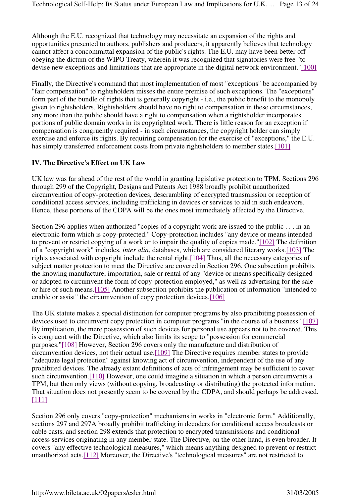Although the E.U. recognized that technology may necessitate an expansion of the rights and opportunities presented to authors, publishers and producers, it apparently believes that technology cannot affect a concommittal expansion of the public's rights. The E.U. may have been better off obeying the dictum of the WIPO Treaty, wherein it was recognized that signatories were free "to devise new exceptions and limitations that are appropriate in the digital network environment."[100]

Finally, the Directive's command that most implementation of most "exceptions" be accompanied by "fair compensation" to rightsholders misses the entire premise of such exceptions. The "exceptions" form part of the bundle of rights that is generally copyright - i.e., the public benefit to the monopoly given to rightsholders. Rightsholders should have no right to compensation in these circumstances, any more than the public should have a right to compensation when a rightsholder incorporates portions of public domain works in its copyrighted work. There is little reason for an exception if compensation is congruently required - in such circumstances, the copyright holder can simply exercise and enforce its rights. By requiring compensation for the exercise of "exceptions," the E.U. has simply transferred enforcement costs from private rightsholders to member states.[101]

## **IV. The Directive's Effect on UK Law**

UK law was far ahead of the rest of the world in granting legislative protection to TPM. Sections 296 through 299 of the Copyright, Designs and Patents Act 1988 broadly prohibit unauthorized circumvention of copy-protection devices, descrambling of encrypted transmission or reception of conditional access services, including trafficking in devices or services to aid in such endeavors. Hence, these portions of the CDPA will be the ones most immediately affected by the Directive.

Section 296 applies when authorized "copies of a copyright work are issued to the public . . . in an electronic form which is copy-protected." Copy-protection includes "any device or means intended to prevent or restrict copying of a work or to impair the quality of copies made."[102] The definition of a "copyright work" includes, *inter alia*, databases, which are considered literary works.[103] The rights associated with copyright include the rental right.[104] Thus, all the necessary categories of subject matter protection to meet the Directive are covered in Section 296. One subsection prohibits the knowing manufacture, importation, sale or rental of any "device or means specifically designed or adopted to circumvent the form of copy-protection employed," as well as advertising for the sale or hire of such means.[105] Another subsection prohibits the publication of information "intended to enable or assist" the circumvention of copy protection devices.[106]

The UK statute makes a special distinction for computer programs by also prohibiting possession of devices used to circumvent copy protection in computer programs "in the course of a business".[107] By implication, the mere possession of such devices for personal use appears not to be covered. This is congruent with the Directive, which also limits its scope to "possession for commercial purposes."[108] However, Section 296 covers only the manufacture and distribution of circumvention devices, not their actual use.[109] The Directive requires member states to provide "adequate legal protection" against knowing act of circumvention, independent of the use of any prohibited devices. The already extant definitions of acts of infringement may be sufficient to cover such circumvention.[110] However, one could imagine a situation in which a person circumvents a TPM, but then only views (without copying, broadcasting or distributing) the protected information. That situation does not presently seem to be covered by the CDPA, and should perhaps be addressed. [111]

Section 296 only covers "copy-protection" mechanisms in works in "electronic form." Additionally, sections 297 and 297A broadly prohibit trafficking in decoders for conditional access broadcasts or cable casts, and section 298 extends that protection to encrypted transmissions and conditional access services originating in any member state. The Directive, on the other hand, is even broader. It covers "any effective technological measures," which means anything designed to prevent or restrict unauthorized acts.[112] Moreover, the Directive's "technological measures" are not restricted to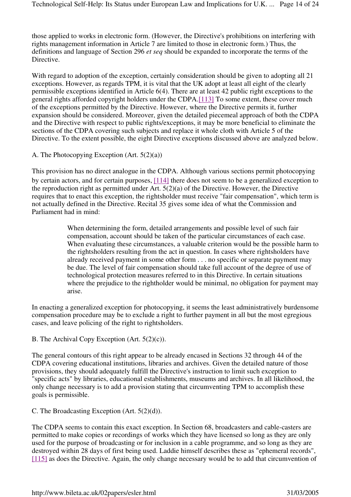those applied to works in electronic form. (However, the Directive's prohibitions on interfering with rights management information in Article 7 are limited to those in electronic form.) Thus, the definitions and language of Section 296 *et seq* should be expanded to incorporate the terms of the Directive.

With regard to adoption of the exception, certainly consideration should be given to adopting all 21 exceptions. However, as regards TPM, it is vital that the UK adopt at least all eight of the clearly permissible exceptions identified in Article 6(4). There are at least 42 public right exceptions to the general rights afforded copyright holders under the CDPA.[113] To some extent, these cover much of the exceptions permitted by the Directive. However, where the Directive permits it, further expansion should be considered. Moreover, given the detailed piecemeal approach of both the CDPA and the Directive with respect to public rights/exceptions, it may be more beneficial to eliminate the sections of the CDPA covering such subjects and replace it whole cloth with Article 5 of the Directive. To the extent possible, the eight Directive exceptions discussed above are analyzed below.

A. The Photocopying Exception (Art. 5(2)(a))

This provision has no direct analogue in the CDPA. Although various sections permit photocopying by certain actors, and for certain purposes, [114] there does not seem to be a generalized exception to the reproduction right as permitted under Art. 5(2)(a) of the Directive. However, the Directive requires that to enact this exception, the rightsholder must receive "fair compensation", which term is not actually defined in the Directive. Recital 35 gives some idea of what the Commission and Parliament had in mind:

> When determining the form, detailed arrangements and possible level of such fair compensation, account should be taken of the particular circumstances of each case. When evaluating these circumstances, a valuable criterion would be the possible harm to the rightsholders resulting from the act in question. In cases where rightsholders have already received payment in some other form . . . no specific or separate payment may be due. The level of fair compensation should take full account of the degree of use of technological protection measures referred to in this Directive. In certain situations where the prejudice to the rightholder would be minimal, no obligation for payment may arise.

In enacting a generalized exception for photocopying, it seems the least administratively burdensome compensation procedure may be to exclude a right to further payment in all but the most egregious cases, and leave policing of the right to rightsholders.

B. The Archival Copy Exception (Art. 5(2)(c)).

The general contours of this right appear to be already encased in Sections 32 through 44 of the CDPA covering educational institutions, libraries and archives. Given the detailed nature of those provisions, they should adequately fulfill the Directive's instruction to limit such exception to "specific acts" by libraries, educational establishments, museums and archives. In all likelihood, the only change necessary is to add a provision stating that circumventing TPM to accomplish these goals is permissible.

C. The Broadcasting Exception (Art. 5(2)(d)).

The CDPA seems to contain this exact exception. In Section 68, broadcasters and cable-casters are permitted to make copies or recordings of works which they have licensed so long as they are only used for the purpose of broadcasting or for inclusion in a cable programme, and so long as they are destroyed within 28 days of first being used. Laddie himself describes these as "ephemeral records", [115] as does the Directive. Again, the only change necessary would be to add that circumvention of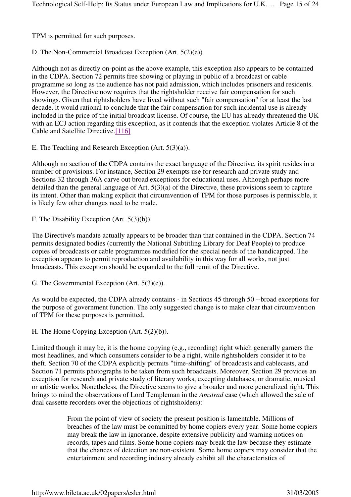TPM is permitted for such purposes.

D. The Non-Commercial Broadcast Exception (Art. 5(2)(e)).

Although not as directly on-point as the above example, this exception also appears to be contained in the CDPA. Section 72 permits free showing or playing in public of a broadcast or cable programme so long as the audience has not paid admission, which includes prisoners and residents. However, the Directive now requires that the rightsholder receive fair compensation for such showings. Given that rightsholders have lived without such "fair compensation" for at least the last decade, it would rational to conclude that the fair compensation for such incidental use is already included in the price of the initial broadcast license. Of course, the EU has already threatened the UK with an ECJ action regarding this exception, as it contends that the exception violates Article 8 of the Cable and Satellite Directive.[116]

E. The Teaching and Research Exception (Art. 5(3)(a)).

Although no section of the CDPA contains the exact language of the Directive, its spirit resides in a number of provisions. For instance, Section 29 exempts use for research and private study and Sections 32 through 36A carve out broad exceptions for educational uses. Although perhaps more detailed than the general language of Art. 5(3)(a) of the Directive, these provisions seem to capture its intent. Other than making explicit that circumvention of TPM for those purposes is permissible, it is likely few other changes need to be made.

F. The Disability Exception (Art. 5(3)(b)).

The Directive's mandate actually appears to be broader than that contained in the CDPA. Section 74 permits designated bodies (currently the National Subtitling Library for Deaf People) to produce copies of broadcasts or cable programmes modified for the special needs of the handicapped. The exception appears to permit reproduction and availability in this way for all works, not just broadcasts. This exception should be expanded to the full remit of the Directive.

G. The Governmental Exception (Art. 5(3)(e)).

As would be expected, the CDPA already contains - in Sections 45 through 50 --broad exceptions for the purpose of government function. The only suggested change is to make clear that circumvention of TPM for these purposes is permitted.

H. The Home Copying Exception (Art. 5(2)(b)).

Limited though it may be, it is the home copying (e.g., recording) right which generally garners the most headlines, and which consumers consider to be a right, while rightsholders consider it to be theft. Section 70 of the CDPA explicitly permits "time-shifting" of broadcasts and cablecasts, and Section 71 permits photographs to be taken from such broadcasts. Moreover, Section 29 provides an exception for research and private study of literary works, excepting databases, or dramatic, musical or artistic works. Nonetheless, the Directive seems to give a broader and more generalized right. This brings to mind the observations of Lord Templeman in the *Amstrad* case (which allowed the sale of dual cassette recorders over the objections of rightsholders):

> From the point of view of society the present position is lamentable. Millions of breaches of the law must be committed by home copiers every year. Some home copiers may break the law in ignorance, despite extensive publicity and warning notices on records, tapes and films. Some home copiers may break the law because they estimate that the chances of detection are non-existent. Some home copiers may consider that the entertainment and recording industry already exhibit all the characteristics of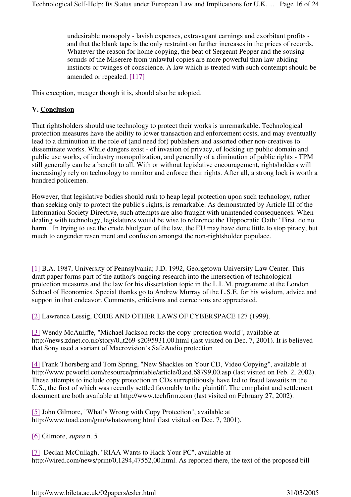undesirable monopoly - lavish expenses, extravagant earnings and exorbitant profits and that the blank tape is the only restraint on further increases in the prices of records. Whatever the reason for home copying, the beat of Sergeant Pepper and the sousing sounds of the Miserere from unlawful copies are more powerful than law-abiding instincts or twinges of conscience. A law which is treated with such contempt should be amended or repealed. [117]

This exception, meager though it is, should also be adopted.

## **V. Conclusion**

That rightsholders should use technology to protect their works is unremarkable. Technological protection measures have the ability to lower transaction and enforcement costs, and may eventually lead to a diminution in the role of (and need for) publishers and assorted other non-creatives to disseminate works. While dangers exist - of invasion of privacy, of locking up public domain and public use works, of industry monopolization, and generally of a diminution of public rights - TPM still generally can be a benefit to all. With or without legislative encouragement, rightsholders will increasingly rely on technology to monitor and enforce their rights. After all, a strong lock is worth a hundred policemen.

However, that legislative bodies should rush to heap legal protection upon such technology, rather than seeking only to protect the public's rights, is remarkable. As demonstrated by Article III of the Information Society Directive, such attempts are also fraught with unintended consequences. When dealing with technology, legislatures would be wise to reference the Hippocratic Oath: "First, do no harm." In trying to use the crude bludgeon of the law, the EU may have done little to stop piracy, but much to engender resentment and confusion amongst the non-rightsholder populace.

[1] B.A. 1987, University of Pennsylvania; J.D. 1992, Georgetown University Law Center. This draft paper forms part of the author's ongoing research into the intersection of technological protection measures and the law for his dissertation topic in the L.L.M. programme at the London School of Economics. Special thanks go to Andrew Murray of the L.S.E. for his wisdom, advice and support in that endeavor. Comments, criticisms and corrections are appreciated.

[2] Lawrence Lessig, CODE AND OTHER LAWS OF CYBERSPACE 127 (1999).

[3] Wendy McAuliffe, "Michael Jackson rocks the copy-protection world", available at http://news.zdnet.co.uk/story/0,,t269-s2095931,00.html (last visited on Dec. 7, 2001). It is believed that Sony used a variant of Macrovision's SafeAudio protection

[4] Frank Thorsberg and Tom Spring, "New Shackles on Your CD, Video Copying", available at http://www.pcworld.com/resource/printable/article/0,aid,68799,00.asp (last visited on Feb. 2, 2002). These attempts to include copy protection in CDs surreptitiously have led to fraud lawsuits in the U.S., the first of which was recently settled favorably to the plaintiff. The complaint and settlement document are both available at http://www.techfirm.com (last visited on February 27, 2002).

[5] John Gilmore, "What's Wrong with Copy Protection", available at http://www.toad.com/gnu/whatswrong.html (last visited on Dec. 7, 2001).

[6] Gilmore, *supra* n. 5

[7] Declan McCullagh, "RIAA Wants to Hack Your PC", available at http://wired.com/news/print/0,1294,47552,00.html. As reported there, the text of the proposed bill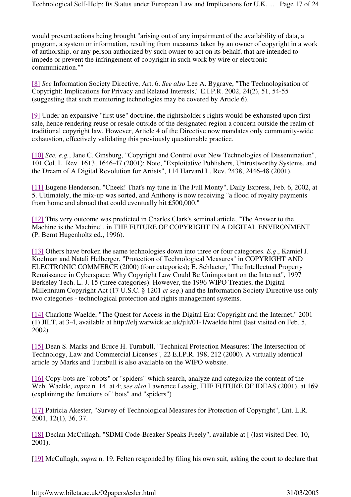would prevent actions being brought "arising out of any impairment of the availability of data, a program, a system or information, resulting from measures taken by an owner of copyright in a work of authorship, or any person authorized by such owner to act on its behalf, that are intended to impede or prevent the infringement of copyright in such work by wire or electronic communication.""

[8] *See* Information Society Directive, Art. 6. *See also* Lee A. Bygrave, "The Technologisation of Copyright: Implications for Privacy and Related Interests," E.I.P.R. 2002, 24(2), 51, 54-55 (suggesting that such monitoring technologies may be covered by Article 6).

[9] Under an expansive "first use" doctrine, the rightsholder's rights would be exhausted upon first sale, hence rendering reuse or resale outside of the designated region a concern outside the realm of traditional copyright law. However, Article 4 of the Directive now mandates only community-wide exhaustion, effectively validating this previously questionable practice.

[10] *See, e.g.*, Jane C. Ginsburg, "Copyright and Control over New Technologies of Dissemination", 101 Col. L. Rev. 1613, 1646-47 (2001); Note, "Exploitative Publishers, Untrustworthy Systems, and the Dream of A Digital Revolution for Artists", 114 Harvard L. Rev. 2438, 2446-48 (2001).

[11] Eugene Henderson, "Cheek! That's my tune in The Full Monty", Daily Express, Feb. 6, 2002, at 5. Ultimately, the mix-up was sorted, and Anthony is now receiving "a flood of royalty payments from home and abroad that could eventually hit £500,000."

[12] This very outcome was predicted in Charles Clark's seminal article, "The Answer to the Machine is the Machine", in THE FUTURE OF COPYRIGHT IN A DIGITAL ENVIRONMENT (P. Bernt Hugenholtz ed., 1996).

[13] Others have broken the same technologies down into three or four categories. *E.g*., Kamiel J. Koelman and Natali Helberger, "Protection of Technological Measures" in COPYRIGHT AND ELECTRONIC COMMERCE (2000) (four categories); E. Schlacter, "The Intellectual Property Renaissance in Cyberspace: Why Copyright Law Could Be Unimportant on the Internet", 1997 Berkeley Tech. L. J. 15 (three categories). However, the 1996 WIPO Treaties, the Digital Millennium Copyright Act (17 U.S.C. § 1201 *et seq*.) and the Information Society Directive use only two categories - technological protection and rights management systems.

[14] Charlotte Waelde, "The Quest for Access in the Digital Era: Copyright and the Internet," 2001 (1) JILT, at 3-4, available at http://elj.warwick.ac.uk/jilt/01-1/waelde.html (last visited on Feb. 5, 2002).

[15] Dean S. Marks and Bruce H. Turnbull, "Technical Protection Measures: The Intersection of Technology, Law and Commercial Licenses", 22 E.I.P.R. 198, 212 (2000). A virtually identical article by Marks and Turnbull is also available on the WIPO website.

[16] Copy-bots are "robots" or "spiders" which search, analyze and categorize the content of the Web. Waelde, *supra* n. 14, at 4; *see also* Lawrence Lessig, THE FUTURE OF IDEAS (2001), at 169 (explaining the functions of "bots" and "spiders")

[17] Patricia Akester, "Survey of Technological Measures for Protection of Copyright", Ent. L.R. 2001, 12(1), 36, 37.

[18] Declan McCullagh, "SDMI Code-Breaker Speaks Freely", available at [ (last visited Dec. 10, 2001).

[19] McCullagh, *supra* n. 19. Felten responded by filing his own suit, asking the court to declare that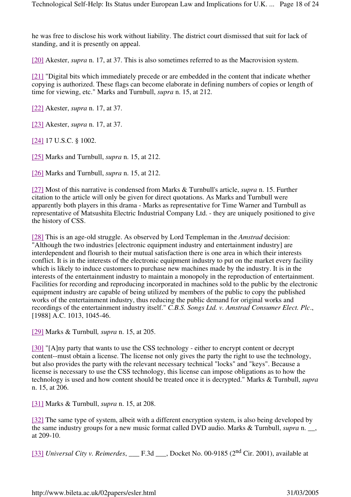he was free to disclose his work without liability. The district court dismissed that suit for lack of standing, and it is presently on appeal.

[20] Akester, *supra* n. 17, at 37. This is also sometimes referred to as the Macrovision system.

[21] "Digital bits which immediately precede or are embedded in the content that indicate whether copying is authorized. These flags can become elaborate in defining numbers of copies or length of time for viewing, etc." Marks and Turnbull, *supra* n. 15, at 212.

[22] Akester, *supra* n. 17, at 37.

[23] Akester, *supra* n. 17, at 37.

[24] 17 U.S.C. § 1002.

[25] Marks and Turnbull, *supra* n. 15, at 212.

[26] Marks and Turnbull, *supra* n. 15, at 212.

[27] Most of this narrative is condensed from Marks & Turnbull's article, *supra* n. 15. Further citation to the article will only be given for direct quotations. As Marks and Turnbull were apparently both players in this drama - Marks as representative for Time Warner and Turnbull as representative of Matsushita Electric Industrial Company Ltd. - they are uniquely positioned to give the history of CSS.

[28] This is an age-old struggle. As observed by Lord Templeman in the *Amstrad* decision: "Although the two industries [electronic equipment industry and entertainment industry] are interdependent and flourish to their mutual satisfaction there is one area in which their interests conflict. It is in the interests of the electronic equipment industry to put on the market every facility which is likely to induce customers to purchase new machines made by the industry. It is in the interests of the entertainment industry to maintain a monopoly in the reproduction of entertainment. Facilities for recording and reproducing incorporated in machines sold to the public by the electronic equipment industry are capable of being utilized by members of the public to copy the published works of the entertainment industry, thus reducing the public demand for original works and recordings of the entertainment industry itself." *C.B.S. Songs Ltd. v. Amstrad Consumer Elect. Plc*., [1988] A.C. 1013, 1045-46.

[29] Marks & Turnbull*, supra* n. 15, at 205.

[30] "[A]ny party that wants to use the CSS technology - either to encrypt content or decrypt content--must obtain a license. The license not only gives the party the right to use the technology, but also provides the party with the relevant necessary technical "locks" and "keys". Because a license is necessary to use the CSS technology, this license can impose obligations as to how the technology is used and how content should be treated once it is decrypted." Marks & Turnbull, *supra* n. 15, at 206.

[31] Marks & Turnbull, *supra* n. 15, at 208.

[32] The same type of system, albeit with a different encryption system, is also being developed by the same industry groups for a new music format called DVD audio. Marks & Turnbull, *supra* n. \_\_, at 209-10.

[33] *Universal City v. Reimerdes*, \_\_\_ F.3d \_\_\_, Docket No. 00-9185 (2nd Cir. 2001), available at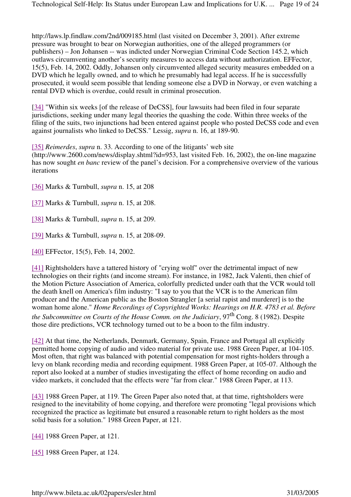http://laws.lp.findlaw.com/2nd/009185.html (last visited on December 3, 2001). After extreme pressure was brought to bear on Norwegian authorities, one of the alleged programmers (or publishers) – Jon Johansen -- was indicted under Norwegian Criminal Code Section 145.2, which outlaws circumventing another's security measures to access data without authorization. EFFector, 15(5), Feb. 14, 2002. Oddly, Johansen only circumvented alleged security measures embedded on a DVD which he legally owned, and to which he presumably had legal access. If he is successfully prosecuted, it would seem possible that lending someone else a DVD in Norway, or even watching a rental DVD which is overdue, could result in criminal prosecution.

[34] "Within six weeks [of the release of DeCSS], four lawsuits had been filed in four separate jurisdictions, seeking under many legal theories the quashing the code. Within three weeks of the filing of the suits, two injunctions had been entered against people who posted DeCSS code and even against journalists who linked to DeCSS." Lessig, *supra* n. 16, at 189-90.

[35] *Reimerdes*, *supra* n. 33. According to one of the litigants' web site

(http://www.2600.com/news/display.shtml?id=953, last visited Feb. 16, 2002), the on-line magazine has now sought *en banc* review of the panel's decision. For a comprehensive overview of the various iterations

[36] Marks & Turnbull, *supra* n. 15, at 208

[37] Marks & Turnbull, *supra* n. 15, at 208.

[38] Marks & Turnbull, *supra* n. 15, at 209.

[39] Marks & Turnbull, *supra* n. 15, at 208-09.

[40] EFFector, 15(5), Feb. 14, 2002.

[41] Rightsholders have a tattered history of "crying wolf" over the detrimental impact of new technologies on their rights (and income stream). For instance, in 1982, Jack Valenti, then chief of the Motion Picture Association of America, colorfully predicted under oath that the VCR would toll the death knell on America's film industry: "I say to you that the VCR is to the American film producer and the American public as the Boston Strangler [a serial rapist and murderer] is to the woman home alone." *Home Recordings of Copyrighted Works: Hearings on H.R. 4783 et al. Before*  the Subcommittee on Courts of the House Comm. on the Judiciary, 97<sup>th</sup> Cong. 8 (1982). Despite those dire predictions, VCR technology turned out to be a boon to the film industry.

[42] At that time, the Netherlands, Denmark, Germany, Spain, France and Portugal all explicitly permitted home copying of audio and video material for private use. 1988 Green Paper, at 104-105. Most often, that right was balanced with potential compensation for most rights-holders through a levy on blank recording media and recording equipment. 1988 Green Paper, at 105-07. Although the report also looked at a number of studies investigating the effect of home recording on audio and video markets, it concluded that the effects were "far from clear." 1988 Green Paper, at 113.

[43] 1988 Green Paper, at 119. The Green Paper also noted that, at that time, rightsholders were resigned to the inevitability of home copying, and therefore were promoting "legal provisions which recognized the practice as legitimate but ensured a reasonable return to right holders as the most solid basis for a solution." 1988 Green Paper, at 121.

[44] 1988 Green Paper, at 121.

[45] 1988 Green Paper, at 124.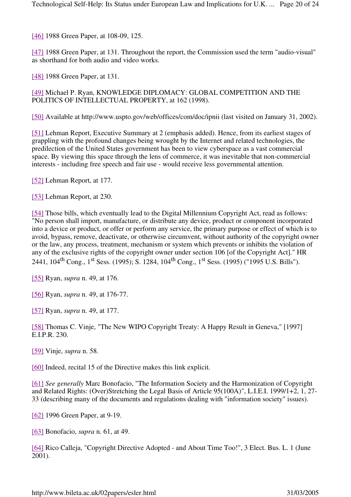[46] 1988 Green Paper, at 108-09, 125.

[47] 1988 Green Paper, at 131. Throughout the report, the Commission used the term "audio-visual" as shorthand for both audio and video works.

[48] 1988 Green Paper, at 131.

[49] Michael P. Ryan, KNOWLEDGE DIPLOMACY: GLOBAL COMPETITION AND THE POLITICS OF INTELLECTUAL PROPERTY, at 162 (1998).

[50] Available at http://www.uspto.gov/web/offices/com/doc/ipnii (last visited on January 31, 2002).

[51] Lehman Report, Executive Summary at 2 (emphasis added). Hence, from its earliest stages of grappling with the profound changes being wrought by the Internet and related technologies, the predilection of the United States government has been to view cyberspace as a vast commercial space. By viewing this space through the lens of commerce, it was inevitable that non-commercial interests - including free speech and fair use - would receive less governmental attention.

[52] Lehman Report, at 177.

[53] Lehman Report, at 230.

[54] Those bills, which eventually lead to the Digital Millennium Copyright Act, read as follows: "No person shall import, manufacture, or distribute any device, product or component incorporated into a device or product, or offer or perform any service, the primary purpose or effect of which is to avoid, bypass, remove, deactivate, or otherwise circumvent, without authority of the copyright owner or the law, any process, treatment, mechanism or system which prevents or inhibits the violation of any of the exclusive rights of the copyright owner under section 106 [of the Copyright Act]." HR 2441, 104<sup>th</sup> Cong., 1<sup>st</sup> Sess. (1995); S. 1284, 104<sup>th</sup> Cong., 1<sup>st</sup> Sess. (1995) ("1995 U.S. Bills").

[55] Ryan, *supra* n. 49, at 176.

[56] Ryan, *supra* n. 49, at 176-77.

[57] Ryan, *supra* n. 49, at 177.

[58] Thomas C. Vinje, "The New WIPO Copyright Treaty: A Happy Result in Geneva," [1997] E.I.P.R. 230.

[59] Vinje, *supra* n. 58.

[60] Indeed, recital 15 of the Directive makes this link explicit.

[61] *See generally* Marc Bonofacio, "The Information Society and the Harmonization of Copyright and Related Rights: (Over)Stretching the Legal Basis of Article 95(100A)", L.I.E.I. 1999/1+2, 1, 27- 33 (describing many of the documents and regulations dealing with "information society" issues).

[62] 1996 Green Paper, at 9-19.

[63] Bonofacio, *supra* n. 61, at 49.

[64] Rico Calleja, "Copyright Directive Adopted - and About Time Too!", 3 Elect. Bus. L. 1 (June 2001).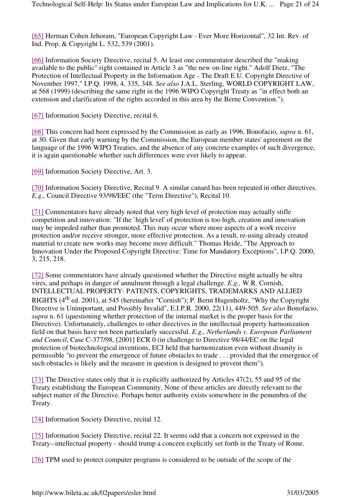[65] Herman Cohen Jehoram, "European Copyright Law - Ever More Horizontal", 32 Int. Rev. of Ind. Prop. & Copyright L. 532, 539 (2001).

[66] Information Society Directive, recital 5. At least one commentator described the "making" available to the public" right contained in Article 3 as "the new on-line right." Adolf Dietz, "The Protection of Intellectual Property in the Information Age - The Draft E.U. Copyright Directive of November 1997," I.P.Q. 1998, 4, 335, 348. *See also* J.A.L. Sterling, WORLD COPYRIGHT LAW, at 568 (1999) (describing the same right in the 1996 WIPO Copyright Treaty as "in effect both an extension and clarification of the rights accorded in this area by the Berne Convention.").

[67] Information Society Directive, recital 6.

[68] This concern had been expressed by the Commission as early as 1996. Bonofacio, *supra* n. 61, at 30. Given that early warning by the Commission, the European member states' agreement on the language of the 1996 WIPO Treaties, and the absence of any concrete examples of such divergence, it is again questionable whether such differences were ever likely to appear.

[69] Information Society Directive, Art. 3.

[70] Information Society Directive, Recital 9. A similar canard has been repeated in other directives. *E.g.,* Council Directive 93/98/EEC (the "Term Directive"), Recital 10.

[71] Commentators have already noted that very high level of protection may actually stifle competition and innovation: "If the `high level' of protection is too high, creation and innovation may be impeded rather than promoted. This may occur where more aspects of a work receive protection and/or receive stronger, more effective protection. As a result, re-using already created material to create new works may become more difficult." Thomas Heide, "The Approach to Innovation Under the Proposed Copyright Directive: Time for Mandatory Exceptions", I.P.Q. 2000, 3, 215, 218.

[72] Some commentators have already questioned whether the Directive might actually be ultra vires, and perhaps in danger of annulment through a legal challenge. *E.g.,* W.R. Cornish, INTELLECTUAL PROPERTY: PATENTS, COPYRIGHTS, TRADEMARKS AND ALLIED RIGHTS (4<sup>th</sup> ed. 2001), at 545 (hereinafter "Cornish"); P. Bernt Hugenholtz, "Why the Copyright Directive is Unimportant, and Possibly Invalid", E.I.P.R. 2000, 22(11), 449-505. *See also* Bonofacio, *supra* n. 61 (questioning whether protection of the internal market is the proper basis for the Directive). Unfortunately, challenges to other directives in the intellectual property harmonization field on that basis have not been particularly successful. *E.g., Netherlands v. European Parliament and Council*, Case C-377/98, [2001] ECR 0 (in challenge to Directive 98/44/EC on the legal protection of biotechnological inventions, ECJ held that harmonization even without disunity is permissible "to prevent the emergence of future obstacles to trade . . . provided that the emergence of such obstacles is likely and the measure in question is designed to prevent them").

[73] The Directive states only that it is explicitly authorized by Articles 47(2), 55 and 95 of the Treaty establishing the European Community. None of these articles are directly relevant to the subject matter of the Directive. Perhaps better authority exists somewhere in the penumbra of the Treaty.

[74] Information Society Directive, recital 12.

[75] Information Society Directive, recital 22. It seems odd that a concern not expressed in the Treaty--intellectual property - should trump a concern explicitly set forth in the Treaty of Rome.

[76] TPM used to protect computer programs is considered to be outside of the scope of the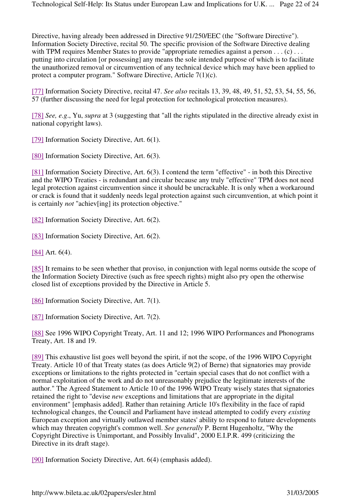Directive, having already been addressed in Directive 91/250/EEC (the "Software Directive"). Information Society Directive, recital 50. The specific provision of the Software Directive dealing with TPM requires Member States to provide "appropriate remedies against a person . . . (c) . . . putting into circulation [or possessing] any means the sole intended purpose of which is to facilitate the unauthorized removal or circumvention of any technical device which may have been applied to protect a computer program." Software Directive, Article 7(1)(c).

[77] Information Society Directive, recital 47. *See also* recitals 13, 39, 48, 49, 51, 52, 53, 54, 55, 56, 57 (further discussing the need for legal protection for technological protection measures).

[78] *See, e.g*., Yu, *supra* at 3 (suggesting that "all the rights stipulated in the directive already exist in national copyright laws).

[79] Information Society Directive, Art. 6(1).

[80] Information Society Directive, Art. 6(3).

[81] Information Society Directive, Art. 6(3). I contend the term "effective" - in both this Directive and the WIPO Treaties - is redundant and circular because any truly "effective" TPM does not need legal protection against circumvention since it should be uncrackable. It is only when a workaround or crack is found that it suddenly needs legal protection against such circumvention, at which point it is certainly *not* "achiev[ing] its protection objective."

[82] Information Society Directive, Art. 6(2).

[83] Information Society Directive, Art. 6(2).

[84] Art. 6(4).

[85] It remains to be seen whether that proviso, in conjunction with legal norms outside the scope of the Information Society Directive (such as free speech rights) might also pry open the otherwise closed list of exceptions provided by the Directive in Article 5.

[86] Information Society Directive, Art. 7(1).

[87] Information Society Directive, Art. 7(2).

[88] See 1996 WIPO Copyright Treaty, Art. 11 and 12; 1996 WIPO Performances and Phonograms Treaty, Art. 18 and 19.

[89] This exhaustive list goes well beyond the spirit, if not the scope, of the 1996 WIPO Copyright Treaty. Article 10 of that Treaty states (as does Article 9(2) of Berne) that signatories may provide exceptions or limitations to the rights protected in "certain special cases that do not conflict with a normal exploitation of the work and do not unreasonably prejudice the legitimate interests of the author." The Agreed Statement to Article 10 of the 1996 WIPO Treaty wisely states that signatories retained the right to "devise *new* exceptions and limitations that are appropriate in the digital environment" [emphasis added]. Rather than retaining Article 10's flexibility in the face of rapid technological changes, the Council and Parliament have instead attempted to codify every *existing* European exception and virtually outlawed member states' ability to respond to future developments which may threaten copyright's common well. *See generally* P. Bernt Hugenholtz, "Why the Copyright Directive is Unimportant, and Possibly Invalid", 2000 E.I.P.R. 499 (criticizing the Directive in its draft stage).

[90] Information Society Directive, Art. 6(4) (emphasis added).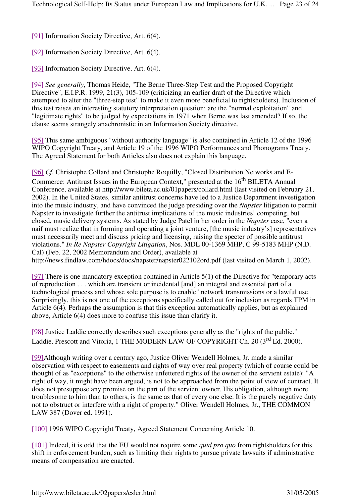[91] Information Society Directive, Art. 6(4).

[92] Information Society Directive, Art. 6(4).

[93] Information Society Directive, Art. 6(4).

[94] *See generally*, Thomas Heide, "The Berne Three-Step Test and the Proposed Copyright Directive", E.I.P.R. 1999, 21(3), 105-109 (criticizing an earlier draft of the Directive which attempted to alter the "three-step test" to make it even more beneficial to rightsholders). Inclusion of this test raises an interesting statutory interpretation question: are the "normal exploitation" and "legitimate rights" to be judged by expectations in 1971 when Berne was last amended? If so, the clause seems strangely anachronistic in an Information Society directive.

[95] This same ambiguous "without authority language" is also contained in Article 12 of the 1996 WIPO Copyright Treaty, and Article 19 of the 1996 WIPO Performances and Phonograms Treaty. The Agreed Statement for both Articles also does not explain this language.

[96] *Cf.* Christophe Collard and Christophe Roquilly, "Closed Distribution Networks and E-Commerce: Antitrust Issues in the European Context," presented at the 16<sup>th</sup> BILETA Annual Conference, available at http://www.bileta.ac.uk/01papers/collard.html (last visited on February 21, 2002). In the United States, similar antitrust concerns have led to a Justice Department investigation into the music industry, and have convinced the judge presiding over the *Napster* litigation to permit Napster to investigate further the antitrust implications of the music industries' competing, but closed, music delivery systems. As stated by Judge Patel in her order in the *Napster* case, "even a naif must realize that in forming and operating a joint venture, [the music industry's] representatives must necessarily meet and discuss pricing and licensing, raising the specter of possible antitrust violations." *In Re Napster Copyright Litigation*, Nos. MDL 00-1369 MHP, C 99-5183 MHP (N.D. Cal) (Feb. 22, 2002 Memorandum and Order), available at

http://news.findlaw.com/hdocs/docs/napster/napster022102ord.pdf (last visited on March 1, 2002).

[97] There is one mandatory exception contained in Article 5(1) of the Directive for "temporary acts of reproduction . . . which are transient or incidental [and] an integral and essential part of a technological process and whose sole purpose is to enable" network transmissions or a lawful use. Surprisingly, this is not one of the exceptions specifically called out for inclusion as regards TPM in Article 6(4). Perhaps the assumption is that this exception automatically applies, but as explained above, Article 6(4) does more to confuse this issue than clarify it.

[98] Justice Laddie correctly describes such exceptions generally as the "rights of the public." Laddie, Prescott and Vitoria, 1 THE MODERN LAW OF COPYRIGHT Ch. 20 (3<sup>rd</sup> Ed. 2000).

[99]Although writing over a century ago, Justice Oliver Wendell Holmes, Jr. made a similar observation with respect to easements and rights of way over real property (which of course could be thought of as "exceptions" to the otherwise unfettered rights of the owner of the servient estate): "A right of way, it might have been argued, is not to be approached from the point of view of contract. It does not presuppose any promise on the part of the servient owner. His obligation, although more troublesome to him than to others, is the same as that of every one else. It is the purely negative duty not to obstruct or interfere with a right of property." Oliver Wendell Holmes, Jr., THE COMMON LAW 387 (Dover ed. 1991).

[100] 1996 WIPO Copyright Treaty, Agreed Statement Concerning Article 10.

[101] Indeed, it is odd that the EU would not require some *quid pro quo* from rightsholders for this shift in enforcement burden, such as limiting their rights to pursue private lawsuits if administrative means of compensation are enacted.